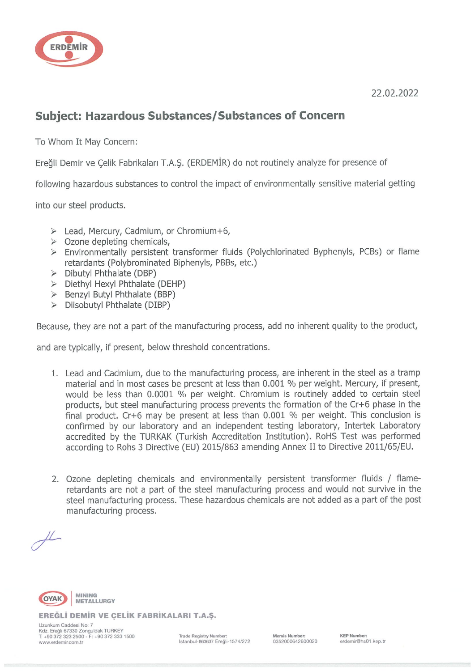

22.02.2022

## Subject: Hazardous Substances/Substances of Concern

To Whom It May Concern:

Ereğli Demir ve Çelik Fabrikaları T.A.Ş. (ERDEMİR) do not routinely analyze for presence of

following hazardous substances to control the impact of environmentally sensitive material getting

into our steel products.

- > Lead, Mercury, Cadmium, or Chromium+6,
- $\geq$  Ozone depleting chemicals,
- > Environmentally persistent transformer fluids (Polychlorinated Byphenyls, PCB5) or flame retardants (Polybrominated Biphenyls, PBB5, etc.)
- > Dibutyl Phthalate (DBP)
- > Diethyl Hexyl Phthalate (DEHP)
- > Benzyl Butyl Phthalate (BBP)
- > Düsobutyl Phthalate (DIBP)

Because, they are not <sup>a</sup> part of the manufacturing process, add no inherent quality to the product,

and are typically, if present, below threshold concentrations.

- 1. Lead and Cadmium, due to the manufacturing process, are inherent in the steel as a tramp material and in most cases be present at less than 0.001 % per weight. Mercury, if present, would be less than 0.0001 % per weight. Chromium is routinely added to certain steel products, but steel manufacturing process prevents the formation of the Cr+6 phase in the final product. Cr+6 may be present at less than  $0.001$  % per weight. This conclusion is confirmed by our laboratory and an independent testing laboratory, Intertek Laboratory accredited by the TURKAK (Turkish Accreditation Institution). R0HS Test was performed according to Rohs <sup>3</sup> Directive (EU) 2015/863 amending Annex II to Directive 2011/65/EU.
- 2. Ozone depleting chemicals and environmentally persistent transformer fluids / flame retardants are not a part of the steel manufacturing process and would not survive in the steel manufacturing process. These hazardous chemicals are not added as <sup>a</sup> part of the post manufacturing process.

 $\mu$ 



EREĞLİ DEMİR VE ÇELİK FABRiKALARI T.A.Ş.

Uzunkum Caddesi No: 7 Kdz. Ereğli 67330 Zonguldak TURKEY<br>T: +90 372 323 2500 - F: +90 372 333 1500 Trade Registry Number: Number: Mersis Number: KEP Number  $\frac{1}{2}$  www.erdemir.com.ir  $\frac{1}{2}$  istanbul.863637 Ereğli.1574/272 0352000642600020 erdemir@hs01.kep.tr